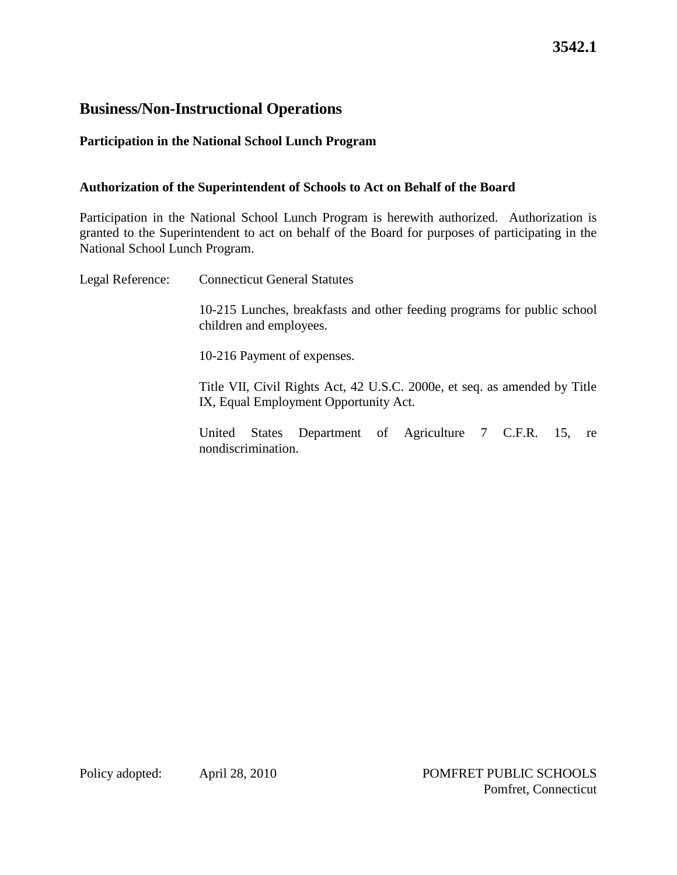# **3542.1**

### **Business/Non-Instructional Operations**

### **Participation in the National School Lunch Program**

#### **Authorization of the Superintendent of Schools to Act on Behalf of the Board**

Participation in the National School Lunch Program is herewith authorized. Authorization is granted to the Superintendent to act on behalf of the Board for purposes of participating in the National School Lunch Program.

Legal Reference: Connecticut General Statutes 10-215 Lunches, breakfasts and other feeding programs for public school children and employees. 10-216 Payment of expenses. Title VII, Civil Rights Act, 42 U.S.C. 2000e, et seq. as amended by Title IX, Equal Employment Opportunity Act. United States Department of Agriculture 7 C.F.R. 15, re nondiscrimination.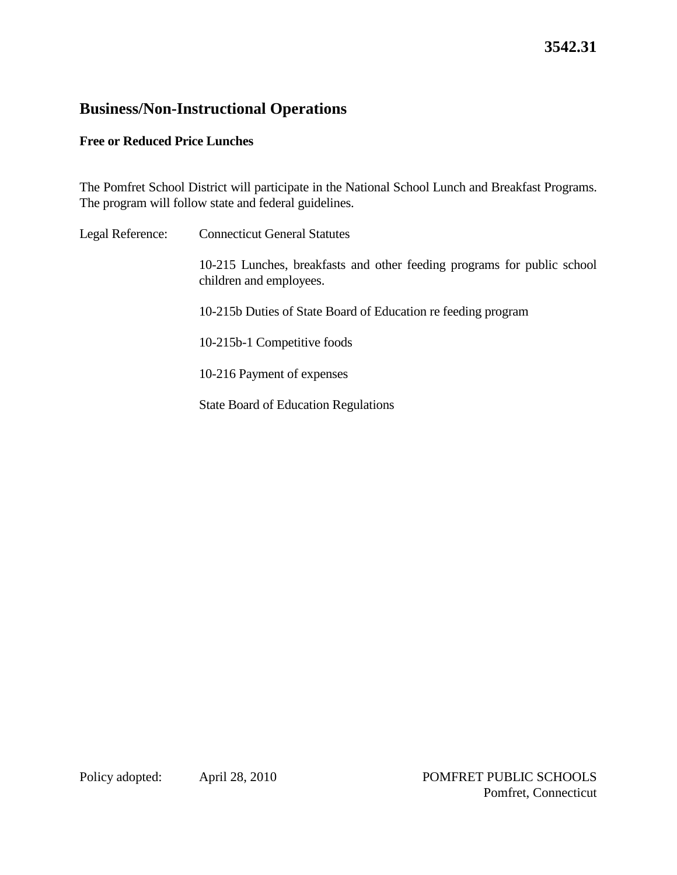# **3542.31**

## **Business/Non-Instructional Operations**

#### **Free or Reduced Price Lunches**

The Pomfret School District will participate in the National School Lunch and Breakfast Programs. The program will follow state and federal guidelines.

Legal Reference: Connecticut General Statutes 10-215 Lunches, breakfasts and other feeding programs for public school children and employees. 10-215b Duties of State Board of Education re feeding program 10-215b-1 Competitive foods 10-216 Payment of expenses State Board of Education Regulations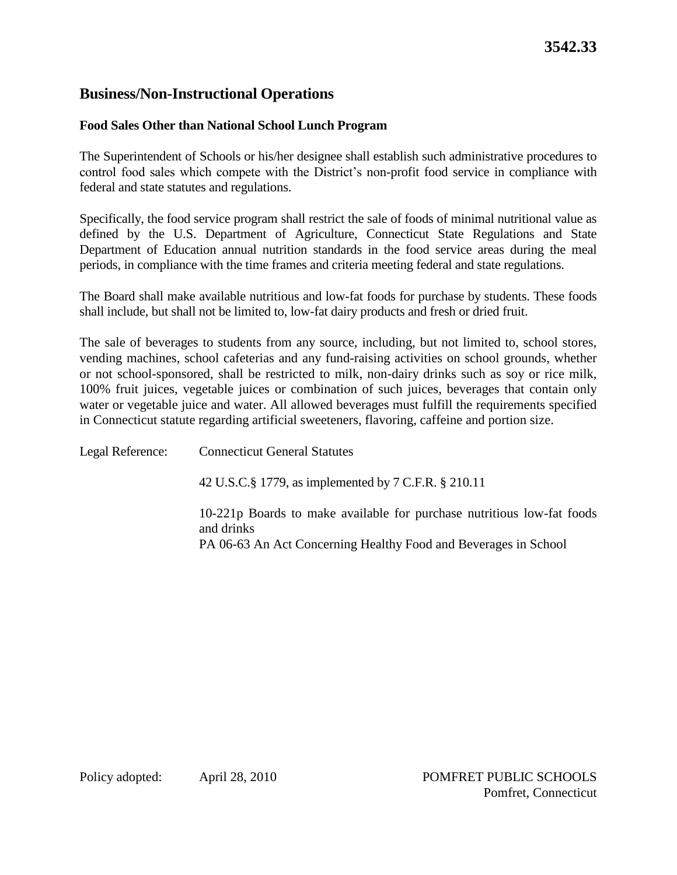# **Business/Non-Instructional Operations**

### **Food Sales Other than National School Lunch Program**

The Superintendent of Schools or his/her designee shall establish such administrative procedures to control food sales which compete with the District's non-profit food service in compliance with federal and state statutes and regulations.

Specifically, the food service program shall restrict the sale of foods of minimal nutritional value as defined by the U.S. Department of Agriculture, Connecticut State Regulations and State Department of Education annual nutrition standards in the food service areas during the meal periods, in compliance with the time frames and criteria meeting federal and state regulations.

The Board shall make available nutritious and low-fat foods for purchase by students. These foods shall include, but shall not be limited to, low-fat dairy products and fresh or dried fruit.

The sale of beverages to students from any source, including, but not limited to, school stores, vending machines, school cafeterias and any fund-raising activities on school grounds, whether or not school-sponsored, shall be restricted to milk, non-dairy drinks such as soy or rice milk, 100% fruit juices, vegetable juices or combination of such juices, beverages that contain only water or vegetable juice and water. All allowed beverages must fulfill the requirements specified in Connecticut statute regarding artificial sweeteners, flavoring, caffeine and portion size.

Legal Reference: Connecticut General Statutes 42 U.S.C.§ 1779, as implemented by 7 C.F.R. § 210.11 10-221p Boards to make available for purchase nutritious low-fat foods and drinks PA 06-63 An Act Concerning Healthy Food and Beverages in School